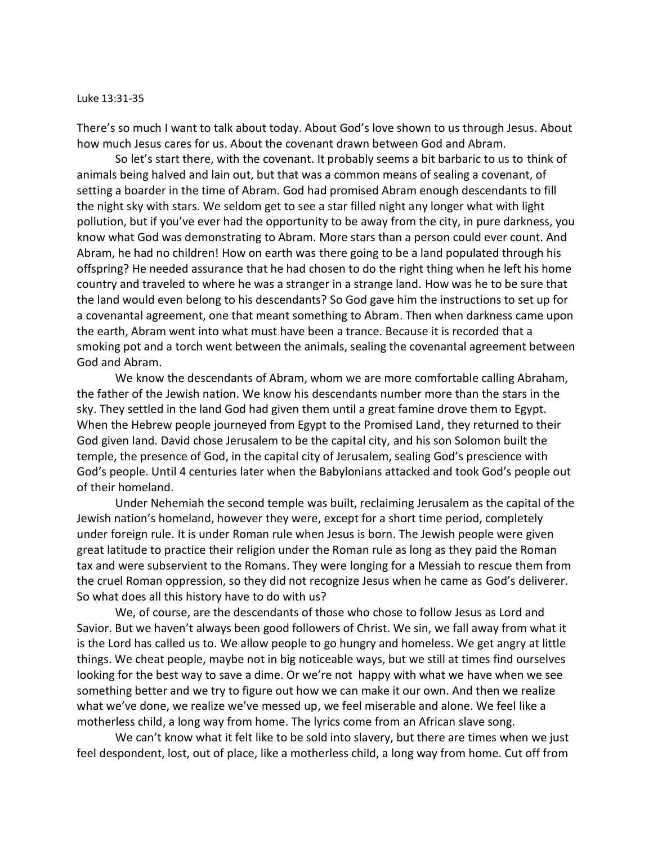## Luke 13:31-35

There's so much I want to talk about today. About God's love shown to us through Jesus. About how much Jesus cares for us. About the covenant drawn between God and Abram.

So let's start there, with the covenant. It probably seems a bit barbaric to us to think of animals being halved and lain out, but that was a common means of sealing a covenant, of setting a boarder in the time of Abram. God had promised Abram enough descendants to fill the night sky with stars. We seldom get to see a star filled night any longer what with light pollution, but if you've ever had the opportunity to be away from the city, in pure darkness, you know what God was demonstrating to Abram. More stars than a person could ever count. And Abram, he had no children! How on earth was there going to be a land populated through his offspring? He needed assurance that he had chosen to do the right thing when he left his home country and traveled to where he was a stranger in a strange land. How was he to be sure that the land would even belong to his descendants? So God gave him the instructions to set up for a covenantal agreement, one that meant something to Abram. Then when darkness came upon the earth, Abram went into what must have been a trance. Because it is recorded that a smoking pot and a torch went between the animals, sealing the covenantal agreement between God and Abram.

We know the descendants of Abram, whom we are more comfortable calling Abraham, the father of the Jewish nation. We know his descendants number more than the stars in the sky. They settled in the land God had given them until a great famine drove them to Egypt. When the Hebrew people journeyed from Egypt to the Promised Land, they returned to their God given land. David chose Jerusalem to be the capital city, and his son Solomon built the temple, the presence of God, in the capital city of Jerusalem, sealing God's prescience with God's people. Until 4 centuries later when the Babylonians attacked and took God's people out of their homeland.

Under Nehemiah the second temple was built, reclaiming Jerusalem as the capital of the Jewish nation's homeland, however they were, except for a short time period, completely under foreign rule. It is under Roman rule when Jesus is born. The Jewish people were given great latitude to practice their religion under the Roman rule as long as they paid the Roman tax and were subservient to the Romans. They were longing for a Messiah to rescue them from the cruel Roman oppression, so they did not recognize Jesus when he came as God's deliverer. So what does all this history have to do with us?

We, of course, are the descendants of those who chose to follow Jesus as Lord and Savior. But we haven't always been good followers of Christ. We sin, we fall away from what it is the Lord has called us to. We allow people to go hungry and homeless. We get angry at little things. We cheat people, maybe not in big noticeable ways, but we still at times find ourselves looking for the best way to save a dime. Or we're not happy with what we have when we see something better and we try to figure out how we can make it our own. And then we realize what we've done, we realize we've messed up, we feel miserable and alone. We feel like a motherless child, a long way from home. The lyrics come from an African slave song.

We can't know what it felt like to be sold into slavery, but there are times when we just feel despondent, lost, out of place, like a motherless child, a long way from home. Cut off from